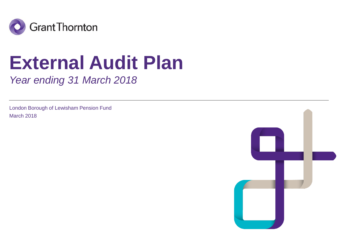

# **External Audit Plan**

*Year ending 31 March 2018*

London Borough of Lewisham Pension Fund March 2018

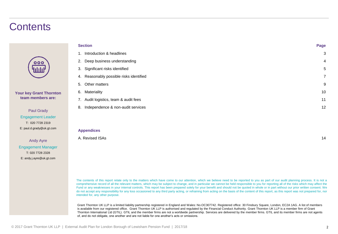### **Contents**

| 000 |  |
|-----|--|
| nn  |  |

**Your key Grant Thornton team members are:**

> Paul Grady Engagement Leader T: 020 7728 2319 E: paul.d.grady@uk.gt.com

Andy Ayre Engagement Manager T: 020 7728 2328 E: andy.j.ayre@uk.gt.com

| <b>Section</b>                             |                |
|--------------------------------------------|----------------|
| Introduction & headlines<br>1.             | 3              |
| Deep business understanding<br>2.          | 4              |
| Significant risks identified<br>3.         | 5              |
| Reasonably possible risks identified<br>4. | $\overline{7}$ |
| Other matters<br>5.                        | 9              |
| Materiality<br>6.                          | 10             |
| 7. Audit logistics, team & audit fees      | 11             |
| Independence & non-audit services<br>8.    | 12             |
|                                            |                |
|                                            |                |
| <b>Appendices</b>                          |                |

The contents of this report relate only to the matters which have come to our attention, which we believe need to be reported to you as part of our audit planning process. It is not a comprehensive record of all the relevant matters, which may be subject to change, and in particular we cannot be held responsible to you for reporting all of the risks which may affect the Fund or any weaknesses in your internal controls. This report has been prepared solely for your benefit and should not be quoted in whole or in part without our prior written consent. We do not accept any responsibility for any loss occasioned to any third party acting, or refraining from acting on the basis of the content of this report, as this report was not prepared for, nor intended for, any other purpose.

A. Revised ISAs 14

Grant Thornton UK LLP is a limited liability partnership registered in England and Wales: No.OC307742. Registered office: 30 Finsbury Square, London, EC2A 1AG. A list of members is available from our registered office. Grant Thornton UK LLP is authorised and regulated by the Financial Conduct Authority. Grant Thornton UK LLP is a member firm of Grant Thornton International Ltd (GTIL). GTIL and the member firms are not a worldwide partnership. Services are delivered by the member firms. GTIL and its member firms are not agents of, and do not obligate, one another and are not liable for one another's acts or omissions.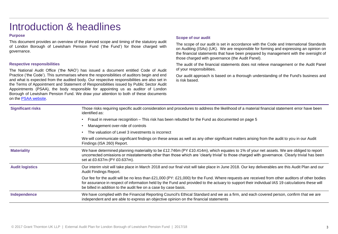### Introduction & headlines

### **Purpose**

This document provides an overview of the planned scope and timing of the statutory audit of London Borough of Lewisham Pension Fund ('the Fund') for those charged with governance.

### **Respective responsibilities**

The National Audit Office ('the NAO') has issued a document entitled Code of Audit Practice ('the Code'). This summarises where the responsibilities of auditors begin and end and what is expected from the audited body. Our respective responsibilities are also set in the Terms of Appointment and Statement of Responsibilities issued by Public Sector Audit Appointments (PSAA), the body responsible for appointing us as auditor of London Borough of Lewisham Pension Fund. We draw your attention to both of these documents on the PSAA [website](https://www.psaa.co.uk/audit-quality/terms-of-appointment/).

### **Scope of our audit**

The scope of our audit is set in accordance with the Code and International Standards on Auditing (ISAs) (UK). We are responsible for forming and expressing an opinion on the financial statements that have been prepared by management with the oversight of those charged with governance (the Audit Panel).

The audit of the financial statements does not relieve management or the Audit Panel of your responsibilities.

Our audit approach is based on a thorough understanding of the Fund's business and is risk based.

| <b>Significant risks</b> | Those risks requiring specific audit consideration and procedures to address the likelihood of a material financial statement error have been<br>identified as:                                                                                                                                                                                                      |
|--------------------------|----------------------------------------------------------------------------------------------------------------------------------------------------------------------------------------------------------------------------------------------------------------------------------------------------------------------------------------------------------------------|
|                          | Fraud in revenue recognition – This risk has been rebutted for the Fund as documented on page 5                                                                                                                                                                                                                                                                      |
|                          | Management over-ride of controls                                                                                                                                                                                                                                                                                                                                     |
|                          | The valuation of Level 3 investments is incorrect                                                                                                                                                                                                                                                                                                                    |
|                          | We will communicate significant findings on these areas as well as any other significant matters arising from the audit to you in our Audit<br>Findings (ISA 260) Report.                                                                                                                                                                                            |
| <b>Materiality</b>       | We have determined planning materiality to be £12.746m (PY £10.414m), which equates to 1% of your net assets. We are obliged to report<br>uncorrected omissions or misstatements other than those which are 'clearly trivial' to those charged with governance. Clearly trivial has been<br>set at £0.637m (PY £0.637m).                                             |
| <b>Audit logistics</b>   | Our interim visit will take place in March 2018 and our final visit will take place in June 2018. Our key deliverables are this Audit Plan and our<br>Audit Findings Report.                                                                                                                                                                                         |
|                          | Our fee for the audit will be no less than £21,000 (PY: £21,000) for the Fund. Where requests are received from other auditors of other bodies<br>for assurance in respect of information held by the Fund and provided to the actuary to support their individual IAS 19 calculations these will<br>be billed in addition to the audit fee on a case by case basis. |
| Independence             | We have complied with the Financial Reporting Council's Ethical Standard and we as a firm, and each covered person, confirm that we are<br>independent and are able to express an objective opinion on the financial statements                                                                                                                                      |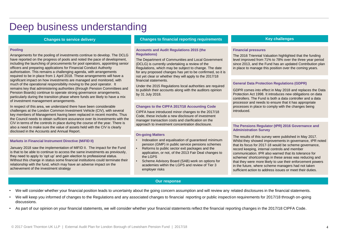### Deep business understanding

### **Changes to service delivery**

#### **Pooling**

Arrangements for the pooling of investments continue to develop. The DCLG have reported on the progress of pools and noted the pace of development, including the launching of procurements for pool operators, appointing senior officers and preparing applications for Financial Conduct Authority authorisation. This remains a challenging agenda, with arrangements required to be in place from 1 April 2018. These arrangements will have a significant impact on how investments are managed and monitored, with much of the operational responsibility moving to the pool operator. It remains key that administering authorities (through Pension Committees and Pension Boards) continue to operate strong governance arrangements, particularly during the transition phase where funds are likely to have a mix of investment management arrangements.

In respect of this area, we understand there have been considerable challenges at the London Common Investment Vehicle (CIV), with several key members of Management having been replaced in recent months. Thus the Council needs to obtain sufficient assurance over its investments with the CIV in terms of the controls in place during the course of the year. There is also a need to make sure the value of assets held with the CIV is clearly disclosed in the Accounts and Annual Report.

#### **Markets in Financial Instrument Directive (MiFID II)**

January 2018 saw the implementation of MiFID II. The impact for the Fund is that to be able to continue to access the same investments as previously, they need to apply to 'opt up' and gain election to professional status. Without this change in status some financial institutions could terminate their relationship with the fund, which may have an adverse impact on the achievement of the investment strategy

### **Changes to financial reporting requirements Key challenges**

#### **Accounts and Audit Regulations 2015 (the Regulations)**

The Department of Communities and Local Government (DCLG) is currently undertaking a review of the Regulations, which may be subject to change. The date for any proposed changes has yet to be confirmed, so it is not yet clear or whether they will apply to the 2017/18 financial statements.

Under the 2015 Regulations local authorities are required to publish their accounts along with the auditors opinion by 31 July 2018.

#### **Changes to the CIPFA 2017/18 Accounting Code**

CIPFA have introduced minor changes to the 2017/18 Code, these include a new disclosure of investment manager transaction costs and clarification on the approach to investment concentration disclosure.

#### **On-going Matters**

- Indexation and equalisation of guaranteed minimum pension (GMP) in public service pensions schemes
- Reforms to public sector exit packages and the application, or not, of the 2013 Fair Deal changes to the LGPS
- Scheme Advisory Board (SAB) work on options for academies within the LGPS and review of Tier 3 employer risks

### **Our response**

#### **Financial pressures**

The 2016 Triennial Valuation highlighted that the funding level improved from 71% to 78% over the three year period since 2013, and the Fund has an updated Contribution plan in place to manage this position over the coming years.

#### **General Data Protection Regulations (GDPR)**

GDPR comes into effect in May 2018 and replaces the Data Protection Act 1998. It introduces new obligations on data controllers. The Fund is both a data controller and a data processor and needs to ensure that it has appropriate processes in place to comply with the changes being introduced.

#### **The Pensions Regulator (tPR) 2016 Governance and Administration Survey**

The results of this survey were published in May 2017. Whilst they showed improvements in governance, tPR noted that its focus for 2017-18 would be scheme governance, record keeping, internal controls and member communication. tPR also warned that its tolerance for schemes' shortcomings in these areas was reducing and that they were more likely to use their enforcement powers in the future, where scheme managers had not taken sufficient action to address issues or meet their duties.

- We will consider whether your financial position leads to uncertainty about the going concern assumption and will review any related disclosures in the financial statements.
- We will keep you informed of changes to the Regulations and any associated changes to financial reporting or public inspection requirements for 2017/18 through on-going discussions.
- As part of our opinion on your financial statements, we will consider whether your financial statements reflect the financial reporting changes in the 2017/18 CIPFA Code.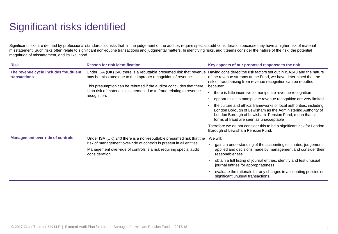### Significant risks identified

Significant risks are defined by professional standards as risks that, in the judgement of the auditor, require special audit consideration because they have a higher risk of material misstatement. Such risks often relate to significant non-routine transactions and judgmental matters. In identifying risks, audit teams consider the nature of the risk, the potential magnitude of misstatement, and its likelihood.

| <b>Risk</b>                                                  | <b>Reason for risk identification</b>                                                                                                                                                                                                                                                               | Key aspects of our proposed response to the risk                                                                                                                                                                                        |
|--------------------------------------------------------------|-----------------------------------------------------------------------------------------------------------------------------------------------------------------------------------------------------------------------------------------------------------------------------------------------------|-----------------------------------------------------------------------------------------------------------------------------------------------------------------------------------------------------------------------------------------|
| The revenue cycle includes fraudulent<br><b>transactions</b> | Under ISA (UK) 240 there is a rebuttable presumed risk that revenue<br>may be misstated due to the improper recognition of revenue.<br>This presumption can be rebutted if the auditor concludes that there<br>is no risk of material misstatement due to fraud relating to revenue<br>recognition. | Having considered the risk factors set out in ISA240 and the nature<br>of the revenue streams at the Fund, we have determined that the<br>risk of fraud arising from revenue recognition can be rebutted,<br>because:                   |
|                                                              |                                                                                                                                                                                                                                                                                                     | there is little incentive to manipulate revenue recognition                                                                                                                                                                             |
|                                                              |                                                                                                                                                                                                                                                                                                     | opportunities to manipulate revenue recognition are very limited                                                                                                                                                                        |
|                                                              |                                                                                                                                                                                                                                                                                                     | the culture and ethical frameworks of local authorities, including<br>London Borough of Lewisham as the Administering Authority of<br>London Borough of Lewisham Pension Fund, mean that all<br>forms of fraud are seen as unacceptable |
|                                                              |                                                                                                                                                                                                                                                                                                     | Therefore we do not consider this to be a significant risk for London<br>Borough of Lewisham Pension Fund.                                                                                                                              |
| <b>Management over-ride of controls</b>                      | Under ISA (UK) 240 there is a non-rebuttable presumed risk that the                                                                                                                                                                                                                                 | We will:                                                                                                                                                                                                                                |
|                                                              | risk of management over-ride of controls is present in all entities.<br>Management over-ride of controls is a risk requiring special audit<br>consideration.                                                                                                                                        | gain an understanding of the accounting estimates, judgements<br>applied and decisions made by management and consider their<br>reasonableness                                                                                          |
|                                                              |                                                                                                                                                                                                                                                                                                     | obtain a full listing of journal entries, identify and test unusual<br>journal entries for appropriateness                                                                                                                              |
|                                                              |                                                                                                                                                                                                                                                                                                     | evaluate the rationale for any changes in accounting policies or<br>significant unusual transactions.                                                                                                                                   |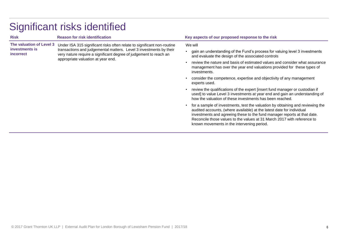| <b>Risk</b>                                                    | <b>Reason for risk identification</b>                                                                                                                                                                                                                    | Key aspects of our proposed response to the risk                                                                                                                                                                                                                                                                                                             |  |
|----------------------------------------------------------------|----------------------------------------------------------------------------------------------------------------------------------------------------------------------------------------------------------------------------------------------------------|--------------------------------------------------------------------------------------------------------------------------------------------------------------------------------------------------------------------------------------------------------------------------------------------------------------------------------------------------------------|--|
| The valuation of Level 3<br>investments is<br><i>incorrect</i> | Under ISA 315 significant risks often relate to significant non-routine<br>transactions and judgemental matters. Level 3 investments by their<br>very nature require a significant degree of judgement to reach an<br>appropriate valuation at year end. | We will                                                                                                                                                                                                                                                                                                                                                      |  |
|                                                                |                                                                                                                                                                                                                                                          | gain an understanding of the Fund's process for valuing level 3 investments<br>and evaluate the design of the associated controls                                                                                                                                                                                                                            |  |
|                                                                |                                                                                                                                                                                                                                                          | review the nature and basis of estimated values and consider what assurance<br>management has over the year end valuations provided for these types of<br>investments.                                                                                                                                                                                       |  |
|                                                                |                                                                                                                                                                                                                                                          | consider the competence, expertise and objectivity of any management<br>experts used.                                                                                                                                                                                                                                                                        |  |
|                                                                |                                                                                                                                                                                                                                                          | review the qualifications of the expert [insert fund manager or custodian if<br>used] to value Level 3 investments at year end and gain an understanding of<br>how the valuation of these investments has been reached.                                                                                                                                      |  |
|                                                                |                                                                                                                                                                                                                                                          | for a sample of investments, test the valuation by obtaining and reviewing the<br>audited accounts, (where available) at the latest date for individual<br>investments and agreeing these to the fund manager reports at that date.<br>Reconcile those values to the values at 31 March 2017 with reference to<br>known movements in the intervening period. |  |

## Significant risks identified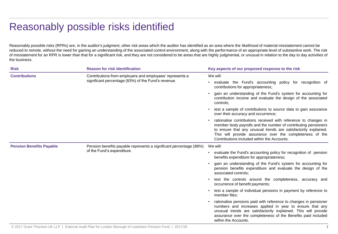### Reasonably possible risks identified

Reasonably possible risks (RPRs) are, in the auditor's judgment, other risk areas which the auditor has identified as an area where the likelihood of material misstatement cannot be reduced to remote, without the need for gaining an understanding of the associated control environment, along with the performance of an appropriate level of substantive work. The risk of misstatement for an RPR is lower than that for a significant risk, and they are not considered to be areas that are highly judgmental, or unusual in relation to the day to day activities of the business.

| <b>Risk</b>                     | <b>Reason for risk identification</b>                                                            | Key aspects of our proposed response to the risk                                                                                                                                                                                                                                                                |  |
|---------------------------------|--------------------------------------------------------------------------------------------------|-----------------------------------------------------------------------------------------------------------------------------------------------------------------------------------------------------------------------------------------------------------------------------------------------------------------|--|
| <b>Contributions</b>            | Contributions from employers and employees' represents a                                         | We will:                                                                                                                                                                                                                                                                                                        |  |
|                                 | significant percentage (83%) of the Fund's revenue.                                              | evaluate the Fund's accounting policy for recognition of<br>contributions for appropriateness;                                                                                                                                                                                                                  |  |
|                                 |                                                                                                  | gain an understanding of the Fund's system for accounting for<br>contribution income and evaluate the design of the associated<br>controls;                                                                                                                                                                     |  |
|                                 |                                                                                                  | test a sample of contributions to source data to gain assurance<br>over their accuracy and occurrence;                                                                                                                                                                                                          |  |
|                                 |                                                                                                  | rationalise contributions received with reference to changes in<br>member body payrolls and the number of contributing pensioners<br>to ensure that any unusual trends are satisfactorily explained.<br>This will provide assurance over the completeness of the<br>Contributions included within the Accounts. |  |
| <b>Pension Benefits Payable</b> | Pension benefits payable represents a significant percentage (88%)<br>of the Fund's expenditure. | We will:                                                                                                                                                                                                                                                                                                        |  |
|                                 |                                                                                                  | evaluate the Fund's accounting policy for recognition of pension<br>benefits expenditure for appropriateness;                                                                                                                                                                                                   |  |
|                                 |                                                                                                  | gain an understanding of the Fund's system for accounting for<br>pension benefits expenditure and evaluate the design of the<br>associated controls;                                                                                                                                                            |  |
|                                 |                                                                                                  | test the controls around the completeness, accuracy and<br>occurrence of benefit payments;                                                                                                                                                                                                                      |  |
|                                 |                                                                                                  | test a sample of individual pensions in payment by reference to<br>member files:                                                                                                                                                                                                                                |  |
|                                 |                                                                                                  | rationalise pensions paid with reference to changes in pensioner<br>numbers and increases applied in year to ensure that any<br>unusual trends are satisfactorily explained. This will provide<br>assurance over the completeness of the Benefits paid included<br>within the Accounts.                         |  |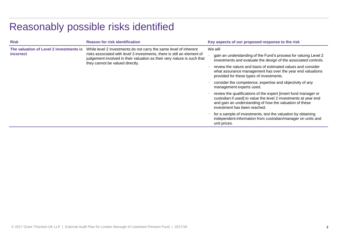## Reasonably possible risks identified

| <b>Risk</b>                                                 | <b>Reason for risk identification</b>                                                                                                                                                                                                                      | Key aspects of our proposed response to the risk                                                                                                                                                                              |
|-------------------------------------------------------------|------------------------------------------------------------------------------------------------------------------------------------------------------------------------------------------------------------------------------------------------------------|-------------------------------------------------------------------------------------------------------------------------------------------------------------------------------------------------------------------------------|
| The valuation of Level 2 investments is<br><i>incorrect</i> | While level 2 investments do not carry the same level of inherent<br>risks associated with level 3 investments, there is still an element of<br>judgement involved in their valuation as their very nature is such that<br>they cannot be valued directly. | We will                                                                                                                                                                                                                       |
|                                                             |                                                                                                                                                                                                                                                            | gain an understanding of the Fund's process for valuing Level 2<br>investments and evaluate the design of the associated controls.                                                                                            |
|                                                             |                                                                                                                                                                                                                                                            | review the nature and basis of estimated values and consider<br>what assurance management has over the year end valuations<br>provided for these types of investments.                                                        |
|                                                             |                                                                                                                                                                                                                                                            | consider the competence, expertise and objectivity of any<br>management experts used.                                                                                                                                         |
|                                                             |                                                                                                                                                                                                                                                            | review the qualifications of the expert finsert fund manager or<br>custodian if used] to value the level 2 investments at year end<br>and gain an understanding of how the valuation of these<br>investment has been reached. |
|                                                             |                                                                                                                                                                                                                                                            | for a sample of investments, test the valuation by obtaining<br>independent information from custodian/manager on units and<br>unit prices.                                                                                   |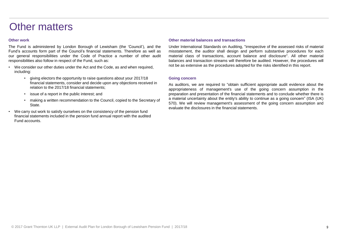### Other matters

### **Other work**

The Fund is administered by London Borough of Lewisham (the 'Council'), and the Fund's accounts form part of the Council's financial statements. Therefore as well as our general responsibilities under the Code of Practice a number of other audit responsibilities also follow in respect of the Fund, such as:

- We consider our other duties under the Act and the Code, as and when required, including:
	- giving electors the opportunity to raise questions about your 2017/18 financial statements, consider and decide upon any objections received in relation to the 2017/18 financial statements;
	- issue of a report in the public interest; and
	- making a written recommendation to the Council, copied to the Secretary of State.
- We carry out work to satisfy ourselves on the consistency of the pension fund financial statements included in the pension fund annual report with the audited Fund accounts.

#### **Other material balances and transactions**

Under International Standards on Auditing, "irrespective of the assessed risks of material misstatement, the auditor shall design and perform substantive procedures for each material class of transactions, account balance and disclosure". All other material balances and transaction streams will therefore be audited. However, the procedures will not be as extensive as the procedures adopted for the risks identified in this report.

#### **Going concern**

As auditors, we are required to "obtain sufficient appropriate audit evidence about the appropriateness of management's use of the going concern assumption in the preparation and presentation of the financial statements and to conclude whether there is a material uncertainty about the entity's ability to continue as a going concern" (ISA (UK) 570). We will review management's assessment of the going concern assumption and evaluate the disclosures in the financial statements.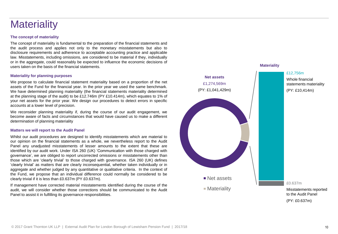### **Materiality**

### **The concept of materiality**

The concept of materiality is fundamental to the preparation of the financial statements and the audit process and applies not only to the monetary misstatements but also to disclosure requirements and adherence to acceptable accounting practice and applicable law. Misstatements, including omissions, are considered to be material if they, individually or in the aggregate, could reasonably be expected to influence the economic decisions of users taken on the basis of the financial statements.

### **Materiality for planning purposes**

We propose to calculate financial statement materiality based on a proportion of the net assets of the Fund for the financial year. In the prior year we used the same benchmark. We have determined planning materiality (the financial statements materiality determined at the planning stage of the audit) to be £12.746m (PY £10.414m), which equates to 1% of your net assets for the prior year. We design our procedures to detect errors in specific accounts at a lower level of precision.

We reconsider planning materiality if, during the course of our audit engagement, we become aware of facts and circumstances that would have caused us to make a different determination of planning materiality

#### **Matters we will report to the Audit Panel**

Whilst our audit procedures are designed to identify misstatements which are material to our opinion on the financial statements as a whole, we nevertheless report to the Audit Panel any unadjusted misstatements of lesser amounts to the extent that these are identified by our audit work. Under ISA 260 (UK) 'Communication with those charged with governance', we are obliged to report uncorrected omissions or misstatements other than those which are 'clearly trivial' to those charged with governance. ISA 260 (UK) defines 'clearly trivial' as matters that are clearly inconsequential, whether taken individually or in aggregate and whether judged by any quantitative or qualitative criteria. In the context of the Fund, we propose that an individual difference could normally be considered to be clearly trivial if it is less than £0.637m (PY £0.637m).

If management have corrected material misstatements identified during the course of the audit, we will consider whether those corrections should be communicated to the Audit Panel to assist it in fulfilling its governance responsibilities.

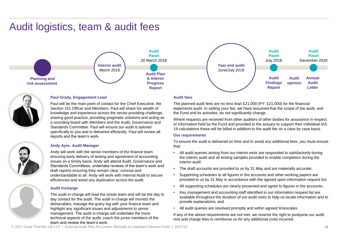### Audit logistics, team & audit fees





### **Paul Grady, Engagement Lead**

Paul will be the main point of contact for the Chief Executive, the Section 151 Officer and Members. Paul will share his wealth of knowledge and experience across the sector providing challenge, sharing good practice, providing pragmatic solutions and acting as a sounding board with Members and the Audit, Governance and Standards Committee. Paul will ensure our audit is tailored specifically to you and is delivered efficiently. Paul will review all reports and the team's work.

### **Andy Ayre, Audit Manager**

Andy will work with the senior members of the finance team ensuring early delivery of testing and agreement of accounting issues on a timely basis. Andy will attend Audit, Governance and Standards Committees, undertake reviews of the team's work and draft reports ensuring they remain clear, concise and understandable to all. Andy will work with Internal Audit to secure efficiencies and avoid any duplication across the audit.

### **Audit Incharge**

The audit in-charge will lead the onsite team and will be the day to day contact for the audit. The audit in-charge will monitor the deliverables, manage the query log with your finance team and highlight any significant issues and adjustments to senior management. The audit in-charge will undertake the more technical aspects of the audit, coach the junior members of the team and review the team's work.

### **Audit fees**

The planned audit fees are no less than £21,000 (PY: £21,000) for the financial statements audit. In setting your fee, we have assumed that the scope of the audit, and the Fund and its activities, do not significantly change.

Where requests are received from other auditors of other bodies for assurance in respect of information held by the Fund and provided to the actuary to support their individual IAS 19 calculations these will be billed in addition to the audit fee on a case by case basis.

### **Our requirements**

To ensure the audit is delivered on time and to avoid any additional fees, you must ensure that:

- All audit queries arising from our interim work are responded to satisfactorily during the interim audit and all testing samples provided to enable completion during the interim audit
- The draft accounts are provided to us by 31 May and are materially accurate;
- Supporting schedules to all figures in the accounts and other working papers are provided to us by 31 May in accordance with the agreed upon information request list;
- All supporting schedules are clearly presented and agree to figures in the accounts;
- Key management and accounting staff identified in our information request list are available throughout the duration of our audit visits to help us locate information and to provide explanations; and
- All audit queries are resolved promptly and within agreed timescales.

If any of the above requirements are not met, we reserve the right to postpone our audit visit and charge fees to reimburse us for any additional costs incurred.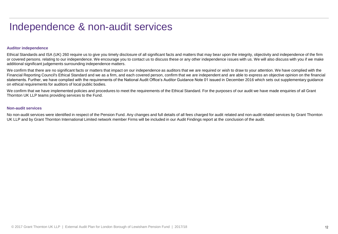### Independence & non-audit services

### **Auditor independence**

Ethical Standards and ISA (UK) 260 require us to give you timely disclosure of all significant facts and matters that may bear upon the integrity, objectivity and independence of the firm or covered persons. relating to our independence. We encourage you to contact us to discuss these or any other independence issues with us. We will also discuss with you if we make additional significant judgements surrounding independence matters.

We confirm that there are no significant facts or matters that impact on our independence as auditors that we are required or wish to draw to your attention. We have complied with the Financial Reporting Council's Ethical Standard and we as a firm, and each covered person, confirm that we are independent and are able to express an objective opinion on the financial statements. Further, we have complied with the requirements of the National Audit Office's Auditor Guidance Note 01 issued in December 2016 which sets out supplementary guidance on ethical requirements for auditors of local public bodies.

We confirm that we have implemented policies and procedures to meet the requirements of the Ethical Standard. For the purposes of our audit we have made enquiries of all Grant Thornton UK LLP teams providing services to the Fund.

### **Non-audit services**

No non-audit services were identified in respect of the Pension Fund. Any changes and full details of all fees charged for audit related and non-audit related services by Grant Thornton UK LLP and by Grant Thornton International Limited network member Firms will be included in our Audit Findings report at the conclusion of the audit.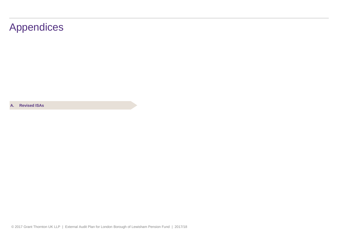### Appendices

**A. Revised ISAs**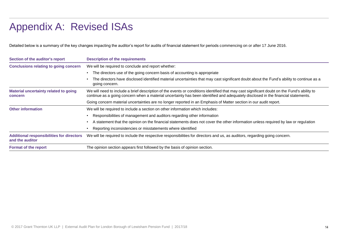### Appendix A: Revised ISAs

Detailed below is a summary of the key changes impacting the auditor's report for audits of financial statement for periods commencing on or after 17 June 2016.

| Section of the auditor's report                                     | <b>Description of the requirements</b>                                                                                                                                                                                                                                           |
|---------------------------------------------------------------------|----------------------------------------------------------------------------------------------------------------------------------------------------------------------------------------------------------------------------------------------------------------------------------|
| <b>Conclusions relating to going concern</b>                        | We will be required to conclude and report whether:                                                                                                                                                                                                                              |
|                                                                     | The directors use of the going concern basis of accounting is appropriate<br>٠                                                                                                                                                                                                   |
|                                                                     | The directors have disclosed identified material uncertainties that may cast significant doubt about the Fund's ability to continue as a<br>going concern.                                                                                                                       |
| <b>Material uncertainty related to going</b><br>concern             | We will need to include a brief description of the events or conditions identified that may cast significant doubt on the Fund's ability to<br>continue as a going concern when a material uncertainty has been identified and adequately disclosed in the financial statements. |
|                                                                     | Going concern material uncertainties are no longer reported in an Emphasis of Matter section in our audit report.                                                                                                                                                                |
| <b>Other information</b>                                            | We will be required to include a section on other information which includes:                                                                                                                                                                                                    |
|                                                                     | Responsibilities of management and auditors regarding other information                                                                                                                                                                                                          |
|                                                                     | A statement that the opinion on the financial statements does not cover the other information unless required by law or regulation                                                                                                                                               |
|                                                                     | Reporting inconsistencies or misstatements where identified                                                                                                                                                                                                                      |
| <b>Additional responsibilities for directors</b><br>and the auditor | We will be required to include the respective responsibilities for directors and us, as auditors, regarding going concern.                                                                                                                                                       |
| <b>Format of the report</b>                                         | The opinion section appears first followed by the basis of opinion section.                                                                                                                                                                                                      |